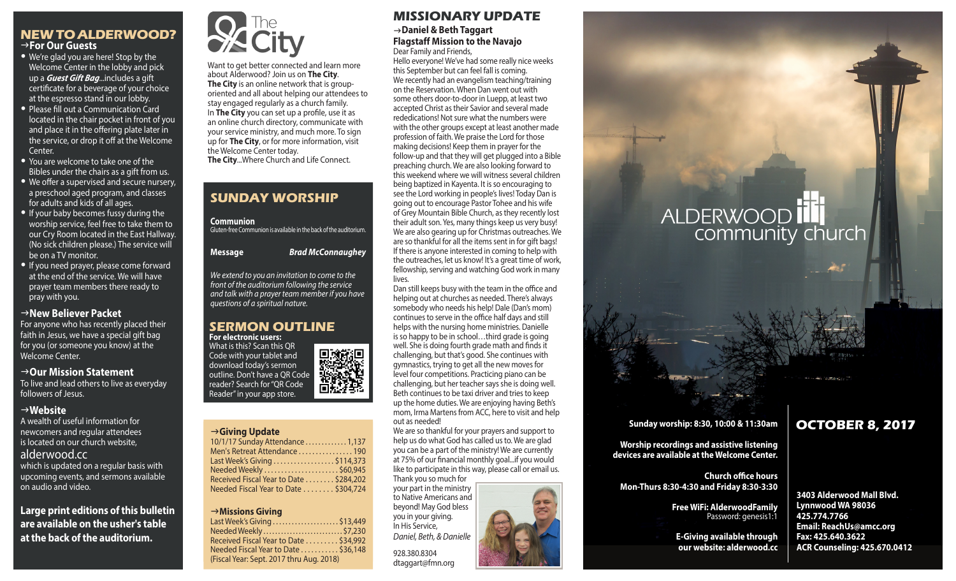### **NEW TO ALDERWOOD?** g**For Our Guests**

- We're glad you are here! Stop by the Welcome Center in the lobby and pick up a *Guest Gift Bag*...includes a gift certificate for a beverage of your choice at the espresso stand in our lobby.
- Please fill out a Communication Card located in the chair pocket in front of you and place it in the offering plate later in the service, or drop it off at the Welcome Center.
- You are welcome to take one of the Bibles under the chairs as a gift from us.
- We offer a supervised and secure nursery, a preschool aged program, and classes for adults and kids of all ages.
- If your baby becomes fussy during the worship service, feel free to take them to our Cry Room located in the East Hallway. (No sick children please.) The service will be on a TV monitor.
- If you need prayer, please come forward at the end of the service. We will have prayer team members there ready to pray with you.

### g**New Believer Packet**

For anyone who has recently placed their faith in Jesus, we have a special gift bag for you (or someone you know) at the Welcome Center.

### →Our Mission Statement

To live and lead others to live as everyday followers of Jesus.

### g**Website**

A wealth of useful information for newcomers and regular attendees is located on our church website, alderwood.cc which is updated on a regular basis with

upcoming events, and sermons available on audio and video.

**Large print editions of this bulletin are available on the usher's table at the back of the auditorium.**



Want to get better connected and learn more about Alderwood? Join us on **The City**. **The City** is an online network that is grouporiented and all about helping our attendees to stay engaged regularly as a church family. In **The City** you can set up a profile, use it as an online church directory, communicate with your service ministry, and much more. To sign up for **The City**, or for more information, visit the Welcome Center today. **The City**...Where Church and Life Connect.

# **SUNDAY WORSHIP**

### **Communion**

Gluten-free Communion is available in the back of the auditorium.

**Message** *Brad McConnaughey*

*We extend to you an invitation to come to the front of the auditorium following the service and talk with a prayer team member if you have questions of a spiritual nature.*

### **SERMON OUTLINE For electronic users:**

What is this? Scan this QR 回激热回 Code with your tablet and download today's sermon outline. Don't have a QR Code reader? Search for "QR Code Reader" in your app store.

# g**Giving Update** g**Giving Update**

| 10/1/17 Sunday Attendance  1,137       |  |
|----------------------------------------|--|
| Men's Retreat Attendance 190           |  |
| Last Week's Giving \$114,373           |  |
| Needed Weekly \$60,945                 |  |
| Received Fiscal Year to Date \$284,202 |  |
| Needed Fiscal Year to Date \$304,724   |  |

### g**Missions Giving** Last Week's Giving . . . . . . . . . . . . . . . . . . . . . \$4,745 g**Missions Giving**

| Last Week's Giving \$13,449              |  |
|------------------------------------------|--|
| Needed Weekly\$7,230                     |  |
| Received Fiscal Year to Date  \$34,992   |  |
| Needed Fiscal Year to Date \$36,148      |  |
| (Fiscal Year: Sept. 2017 thru Aug. 2018) |  |
|                                          |  |

# **MISSIONARY UPDATE** g**Daniel & Beth Taggart**

### **Flagstaff Mission to the Navajo** Dear Family and Friends,

Hello everyone! We've had some really nice weeks this September but can feel fall is coming. We recently had an evangelism teaching/training on the Reservation. When Dan went out with some others door-to-door in Luepp, at least two accepted Christ as their Savior and several made rededications! Not sure what the numbers were with the other groups except at least another made profession of faith. We praise the Lord for those making decisions! Keep them in prayer for the follow-up and that they will get plugged into a Bible preaching church. We are also looking forward to this weekend where we will witness several children being baptized in Kayenta. It is so encouraging to see the Lord working in people's lives! Today Dan is going out to encourage Pastor Tohee and his wife of Grey Mountain Bible Church, as they recently lost their adult son. Yes, many things keep us very busy! We are also gearing up for Christmas outreaches. We are so thankful for all the items sent in for gift bags! If there is anyone interested in coming to help with the outreaches, let us know! It's a great time of work, fellowship, serving and watching God work in many lives.

Dan still keeps busy with the team in the office and helping out at churches as needed. There's always somebody who needs his help! Dale (Dan's mom) continues to serve in the office half days and still helps with the nursing home ministries. Danielle is so happy to be in school…third grade is going well. She is doing fourth grade math and finds it challenging, but that's good. She continues with gymnastics, trying to get all the new moves for level four competitions. Practicing piano can be challenging, but her teacher says she is doing well. Beth continues to be taxi driver and tries to keep up the home duties. We are enjoying having Beth's mom, Irma Martens from ACC, here to visit and help out as needed!

We are so thankful for your prayers and support to help us do what God has called us to. We are glad you can be a part of the ministry! We are currently at 75% of our financial monthly goal...if you would like to participate in this way, please call or email us. Thank you so much for

your part in the ministry to Native Americans and beyond! May God bless you in your giving. In His Service, *Daniel, Beth, & Danielle*

928.380.8304 dtaggart@fmn.org



# **ALDERWOOD** community church

### **Sunday worship: 8:30, 10:00 & 11:30am**

**Worship recordings and assistive listening devices are available at the Welcome Center.**

**Church office hours Mon-Thurs 8:30-4:30 and Friday 8:30-3:30**

> **Free WiFi: AlderwoodFamily**  Password: genesis1:1

**E-Giving available through our website: alderwood.cc**

# **OCTOBER 8, 2017**

**3403 Alderwood Mall Blvd. Lynnwood WA 98036 425.774.7766 Email: ReachUs@amcc.org Fax: 425.640.3622 ACR Counseling: 425.670.0412**